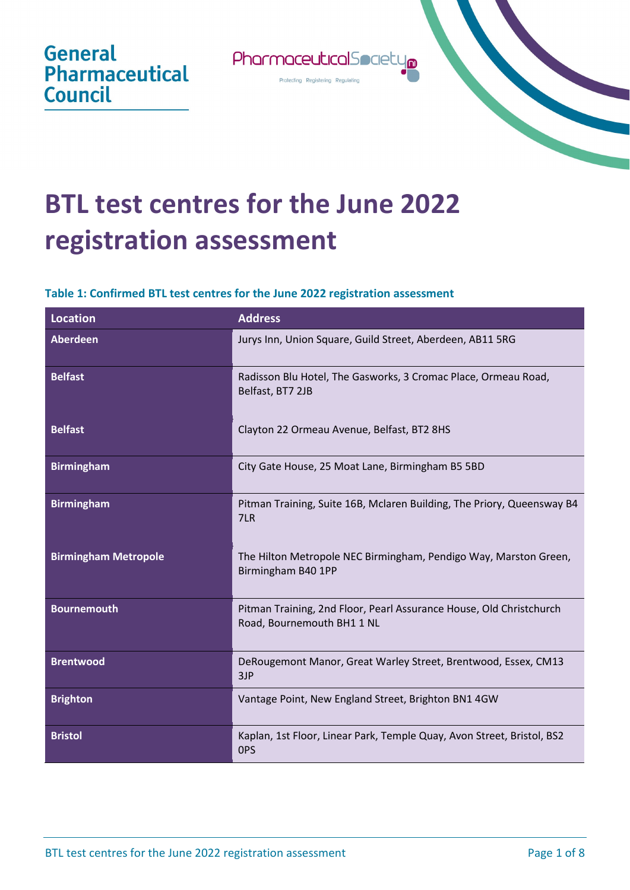

Profecting Registering Regulating

## **BTL test centres for the June 2022 registration assessment**

**General** 

**Council** 

**Pharmaceutical** 

## **Table 1: Confirmed BTL test centres for the June 2022 registration assessment**

| <b>Location</b>             | <b>Address</b>                                                                                    |
|-----------------------------|---------------------------------------------------------------------------------------------------|
| <b>Aberdeen</b>             | Jurys Inn, Union Square, Guild Street, Aberdeen, AB11 5RG                                         |
| <b>Belfast</b>              | Radisson Blu Hotel, The Gasworks, 3 Cromac Place, Ormeau Road,<br>Belfast, BT7 2JB                |
| <b>Belfast</b>              | Clayton 22 Ormeau Avenue, Belfast, BT2 8HS                                                        |
| <b>Birmingham</b>           | City Gate House, 25 Moat Lane, Birmingham B5 5BD                                                  |
| <b>Birmingham</b>           | Pitman Training, Suite 16B, Mclaren Building, The Priory, Queensway B4<br>7LR                     |
| <b>Birmingham Metropole</b> | The Hilton Metropole NEC Birmingham, Pendigo Way, Marston Green,<br>Birmingham B40 1PP            |
| <b>Bournemouth</b>          | Pitman Training, 2nd Floor, Pearl Assurance House, Old Christchurch<br>Road, Bournemouth BH1 1 NL |
| <b>Brentwood</b>            | DeRougemont Manor, Great Warley Street, Brentwood, Essex, CM13<br>3JP                             |
| <b>Brighton</b>             | Vantage Point, New England Street, Brighton BN1 4GW                                               |
| <b>Bristol</b>              | Kaplan, 1st Floor, Linear Park, Temple Quay, Avon Street, Bristol, BS2<br>OPS                     |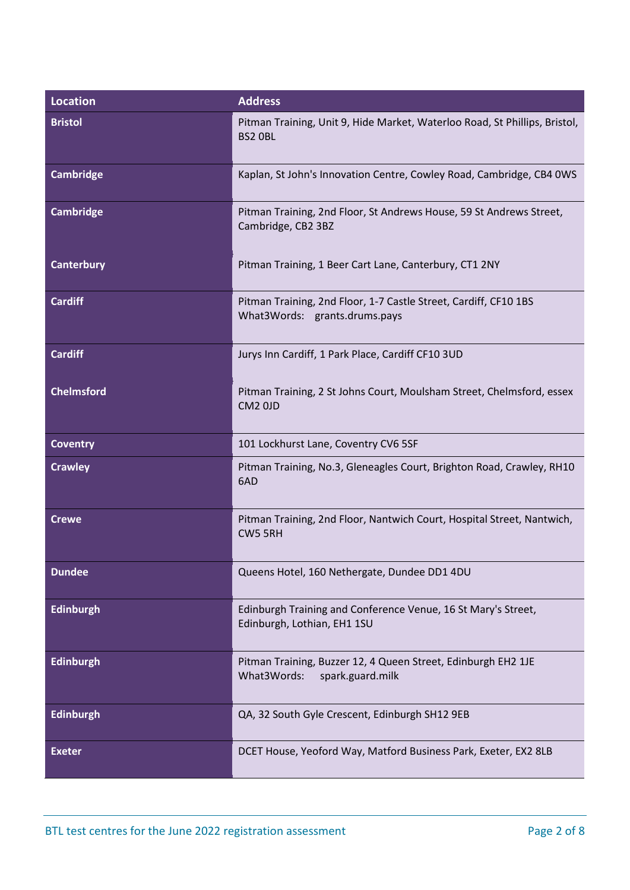| Location          | <b>Address</b>                                                                                    |
|-------------------|---------------------------------------------------------------------------------------------------|
| <b>Bristol</b>    | Pitman Training, Unit 9, Hide Market, Waterloo Road, St Phillips, Bristol,<br>BS2 OBL             |
| <b>Cambridge</b>  | Kaplan, St John's Innovation Centre, Cowley Road, Cambridge, CB4 0WS                              |
| <b>Cambridge</b>  | Pitman Training, 2nd Floor, St Andrews House, 59 St Andrews Street,<br>Cambridge, CB2 3BZ         |
| <b>Canterbury</b> | Pitman Training, 1 Beer Cart Lane, Canterbury, CT1 2NY                                            |
| <b>Cardiff</b>    | Pitman Training, 2nd Floor, 1-7 Castle Street, Cardiff, CF10 1BS<br>What3Words: grants.drums.pays |
| <b>Cardiff</b>    | Jurys Inn Cardiff, 1 Park Place, Cardiff CF10 3UD                                                 |
| <b>Chelmsford</b> | Pitman Training, 2 St Johns Court, Moulsham Street, Chelmsford, essex<br>CM <sub>2</sub> OJD      |
| <b>Coventry</b>   | 101 Lockhurst Lane, Coventry CV6 5SF                                                              |
| <b>Crawley</b>    | Pitman Training, No.3, Gleneagles Court, Brighton Road, Crawley, RH10<br>6AD                      |
| <b>Crewe</b>      | Pitman Training, 2nd Floor, Nantwich Court, Hospital Street, Nantwich,<br>CW5 5RH                 |
| <b>Dundee</b>     | Queens Hotel, 160 Nethergate, Dundee DD1 4DU                                                      |
| <b>Edinburgh</b>  | Edinburgh Training and Conference Venue, 16 St Mary's Street,<br>Edinburgh, Lothian, EH1 1SU      |
| <b>Edinburgh</b>  | Pitman Training, Buzzer 12, 4 Queen Street, Edinburgh EH2 1JE<br>What3Words:<br>spark.guard.milk  |
| <b>Edinburgh</b>  | QA, 32 South Gyle Crescent, Edinburgh SH12 9EB                                                    |
| <b>Exeter</b>     | DCET House, Yeoford Way, Matford Business Park, Exeter, EX2 8LB                                   |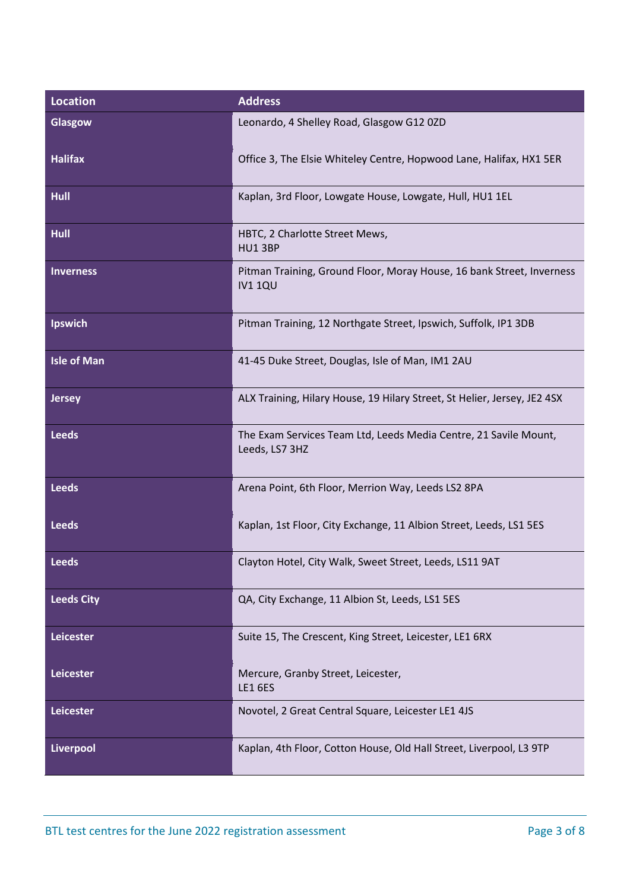| <b>Location</b>    | <b>Address</b>                                                                          |
|--------------------|-----------------------------------------------------------------------------------------|
| Glasgow            | Leonardo, 4 Shelley Road, Glasgow G12 0ZD                                               |
| <b>Halifax</b>     | Office 3, The Elsie Whiteley Centre, Hopwood Lane, Halifax, HX1 5ER                     |
| Hull               | Kaplan, 3rd Floor, Lowgate House, Lowgate, Hull, HU1 1EL                                |
| <b>Hull</b>        | HBTC, 2 Charlotte Street Mews,<br>HU1 3BP                                               |
| <b>Inverness</b>   | Pitman Training, Ground Floor, Moray House, 16 bank Street, Inverness<br><b>IV1 1QU</b> |
| <b>Ipswich</b>     | Pitman Training, 12 Northgate Street, Ipswich, Suffolk, IP1 3DB                         |
| <b>Isle of Man</b> | 41-45 Duke Street, Douglas, Isle of Man, IM1 2AU                                        |
| <b>Jersey</b>      | ALX Training, Hilary House, 19 Hilary Street, St Helier, Jersey, JE2 4SX                |
| <b>Leeds</b>       | The Exam Services Team Ltd, Leeds Media Centre, 21 Savile Mount,<br>Leeds, LS7 3HZ      |
| <b>Leeds</b>       | Arena Point, 6th Floor, Merrion Way, Leeds LS2 8PA                                      |
| <b>Leeds</b>       | Kaplan, 1st Floor, City Exchange, 11 Albion Street, Leeds, LS1 5ES                      |
| <b>Leeds</b>       | Clayton Hotel, City Walk, Sweet Street, Leeds, LS11 9AT                                 |
| <b>Leeds City</b>  | QA, City Exchange, 11 Albion St, Leeds, LS1 5ES                                         |
| Leicester          | Suite 15, The Crescent, King Street, Leicester, LE1 6RX                                 |
| Leicester          | Mercure, Granby Street, Leicester,<br><b>LE16ES</b>                                     |
| Leicester          | Novotel, 2 Great Central Square, Leicester LE1 4JS                                      |
| Liverpool          | Kaplan, 4th Floor, Cotton House, Old Hall Street, Liverpool, L3 9TP                     |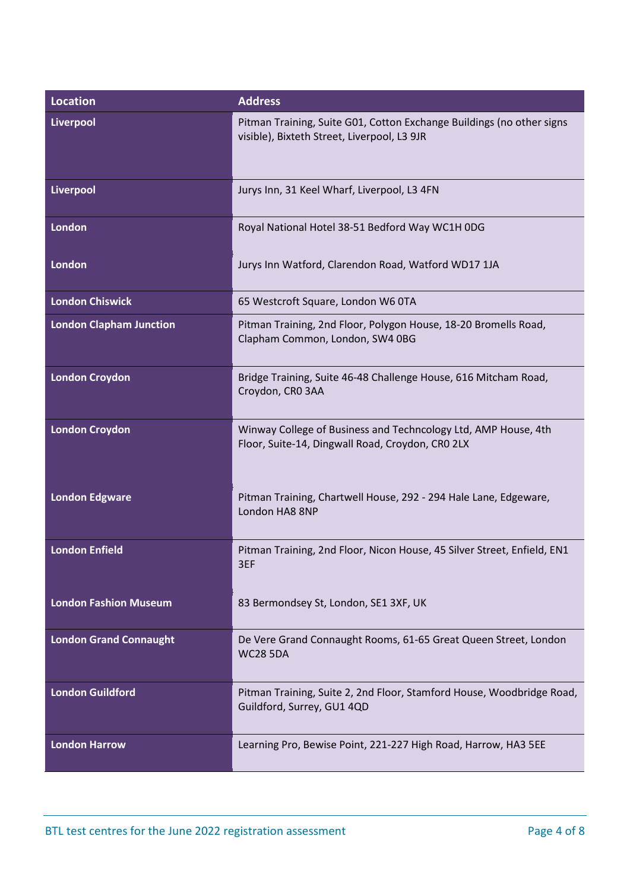| <b>Location</b>                | <b>Address</b>                                                                                                       |
|--------------------------------|----------------------------------------------------------------------------------------------------------------------|
| Liverpool                      | Pitman Training, Suite G01, Cotton Exchange Buildings (no other signs<br>visible), Bixteth Street, Liverpool, L3 9JR |
| Liverpool                      | Jurys Inn, 31 Keel Wharf, Liverpool, L3 4FN                                                                          |
| London                         | Royal National Hotel 38-51 Bedford Way WC1H 0DG                                                                      |
| London                         | Jurys Inn Watford, Clarendon Road, Watford WD17 1JA                                                                  |
| <b>London Chiswick</b>         | 65 Westcroft Square, London W6 0TA                                                                                   |
| <b>London Clapham Junction</b> | Pitman Training, 2nd Floor, Polygon House, 18-20 Bromells Road,<br>Clapham Common, London, SW4 0BG                   |
| <b>London Croydon</b>          | Bridge Training, Suite 46-48 Challenge House, 616 Mitcham Road,<br>Croydon, CRO 3AA                                  |
| <b>London Croydon</b>          | Winway College of Business and Techncology Ltd, AMP House, 4th<br>Floor, Suite-14, Dingwall Road, Croydon, CRO 2LX   |
| <b>London Edgware</b>          | Pitman Training, Chartwell House, 292 - 294 Hale Lane, Edgeware,<br>London HA8 8NP                                   |
| <b>London Enfield</b>          | Pitman Training, 2nd Floor, Nicon House, 45 Silver Street, Enfield, EN1<br>3EF                                       |
| <b>London Fashion Museum</b>   | 83 Bermondsey St, London, SE1 3XF, UK                                                                                |
| <b>London Grand Connaught</b>  | De Vere Grand Connaught Rooms, 61-65 Great Queen Street, London<br><b>WC28 5DA</b>                                   |
| <b>London Guildford</b>        | Pitman Training, Suite 2, 2nd Floor, Stamford House, Woodbridge Road,<br>Guildford, Surrey, GU1 4QD                  |
| <b>London Harrow</b>           | Learning Pro, Bewise Point, 221-227 High Road, Harrow, HA3 5EE                                                       |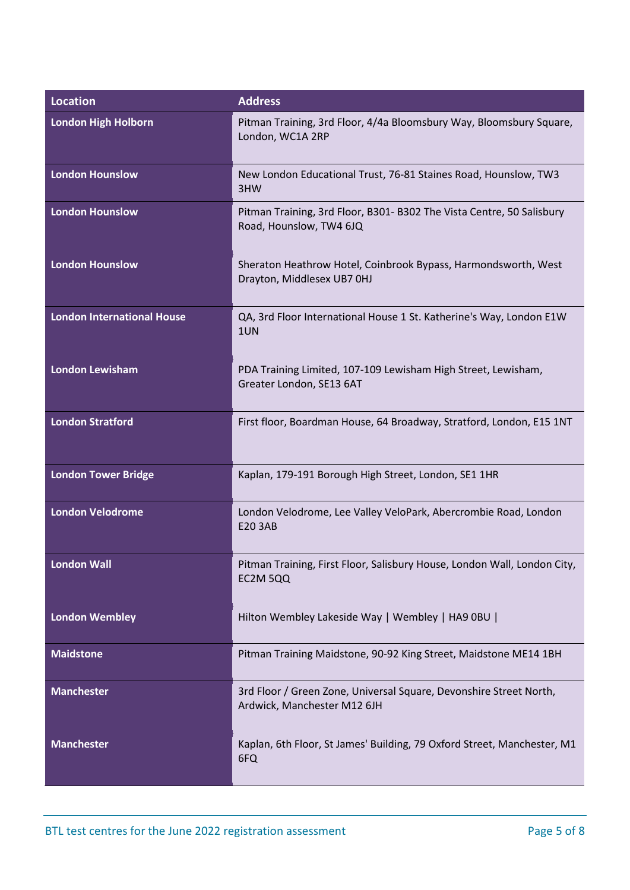| <b>Location</b>                   | <b>Address</b>                                                                                    |
|-----------------------------------|---------------------------------------------------------------------------------------------------|
| <b>London High Holborn</b>        | Pitman Training, 3rd Floor, 4/4a Bloomsbury Way, Bloomsbury Square,<br>London, WC1A 2RP           |
| <b>London Hounslow</b>            | New London Educational Trust, 76-81 Staines Road, Hounslow, TW3<br>3HW                            |
| <b>London Hounslow</b>            | Pitman Training, 3rd Floor, B301- B302 The Vista Centre, 50 Salisbury<br>Road, Hounslow, TW4 6JQ  |
| <b>London Hounslow</b>            | Sheraton Heathrow Hotel, Coinbrook Bypass, Harmondsworth, West<br>Drayton, Middlesex UB7 OHJ      |
| <b>London International House</b> | QA, 3rd Floor International House 1 St. Katherine's Way, London E1W<br>1UN                        |
| <b>London Lewisham</b>            | PDA Training Limited, 107-109 Lewisham High Street, Lewisham,<br>Greater London, SE13 6AT         |
| <b>London Stratford</b>           | First floor, Boardman House, 64 Broadway, Stratford, London, E15 1NT                              |
| <b>London Tower Bridge</b>        | Kaplan, 179-191 Borough High Street, London, SE1 1HR                                              |
| <b>London Velodrome</b>           | London Velodrome, Lee Valley VeloPark, Abercrombie Road, London<br><b>E20 3AB</b>                 |
| <b>London Wall</b>                | Pitman Training, First Floor, Salisbury House, London Wall, London City,<br>EC2M 5QQ              |
| <b>London Wembley</b>             | Hilton Wembley Lakeside Way   Wembley   HA9 0BU                                                   |
| <b>Maidstone</b>                  | Pitman Training Maidstone, 90-92 King Street, Maidstone ME14 1BH                                  |
| <b>Manchester</b>                 | 3rd Floor / Green Zone, Universal Square, Devonshire Street North,<br>Ardwick, Manchester M12 6JH |
| <b>Manchester</b>                 | Kaplan, 6th Floor, St James' Building, 79 Oxford Street, Manchester, M1<br>6FQ                    |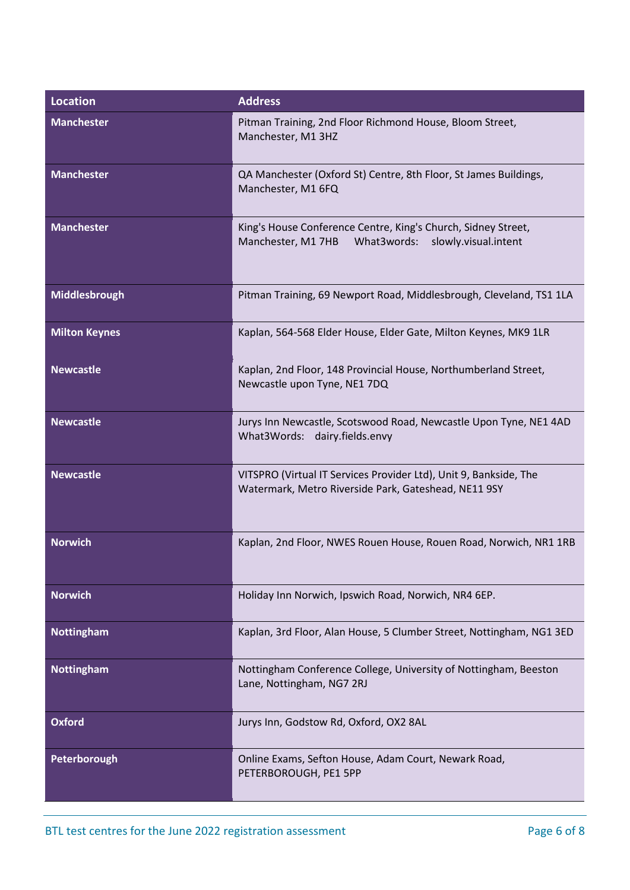| <b>Location</b>      | <b>Address</b>                                                                                                             |
|----------------------|----------------------------------------------------------------------------------------------------------------------------|
| <b>Manchester</b>    | Pitman Training, 2nd Floor Richmond House, Bloom Street,<br>Manchester, M1 3HZ                                             |
| <b>Manchester</b>    | QA Manchester (Oxford St) Centre, 8th Floor, St James Buildings,<br>Manchester, M1 6FQ                                     |
| <b>Manchester</b>    | King's House Conference Centre, King's Church, Sidney Street,<br>What3words:<br>Manchester, M1 7HB<br>slowly.visual.intent |
| Middlesbrough        | Pitman Training, 69 Newport Road, Middlesbrough, Cleveland, TS1 1LA                                                        |
| <b>Milton Keynes</b> | Kaplan, 564-568 Elder House, Elder Gate, Milton Keynes, MK9 1LR                                                            |
| <b>Newcastle</b>     | Kaplan, 2nd Floor, 148 Provincial House, Northumberland Street,<br>Newcastle upon Tyne, NE1 7DQ                            |
| <b>Newcastle</b>     | Jurys Inn Newcastle, Scotswood Road, Newcastle Upon Tyne, NE1 4AD<br>What3Words: dairy.fields.envy                         |
| <b>Newcastle</b>     | VITSPRO (Virtual IT Services Provider Ltd), Unit 9, Bankside, The<br>Watermark, Metro Riverside Park, Gateshead, NE11 9SY  |
| <b>Norwich</b>       | Kaplan, 2nd Floor, NWES Rouen House, Rouen Road, Norwich, NR1 1RB                                                          |
| <b>Norwich</b>       | Holiday Inn Norwich, Ipswich Road, Norwich, NR4 6EP.                                                                       |
| <b>Nottingham</b>    | Kaplan, 3rd Floor, Alan House, 5 Clumber Street, Nottingham, NG1 3ED                                                       |
| <b>Nottingham</b>    | Nottingham Conference College, University of Nottingham, Beeston<br>Lane, Nottingham, NG7 2RJ                              |
| <b>Oxford</b>        | Jurys Inn, Godstow Rd, Oxford, OX2 8AL                                                                                     |
| Peterborough         | Online Exams, Sefton House, Adam Court, Newark Road,<br>PETERBOROUGH, PE1 5PP                                              |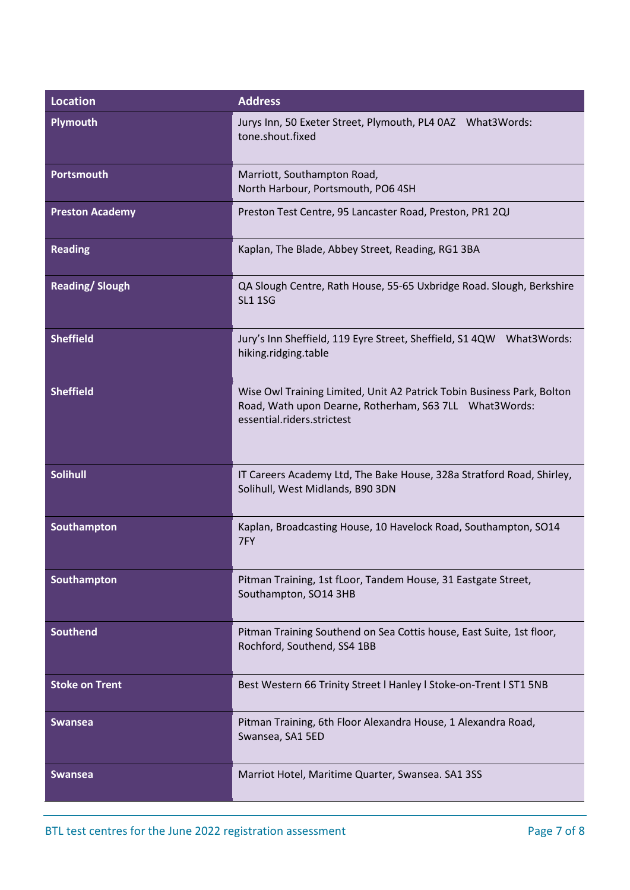| <b>Location</b>        | <b>Address</b>                                                                                                                                                 |
|------------------------|----------------------------------------------------------------------------------------------------------------------------------------------------------------|
| <b>Plymouth</b>        | Jurys Inn, 50 Exeter Street, Plymouth, PL4 0AZ What3Words:<br>tone.shout.fixed                                                                                 |
| <b>Portsmouth</b>      | Marriott, Southampton Road,<br>North Harbour, Portsmouth, PO6 4SH                                                                                              |
| <b>Preston Academy</b> | Preston Test Centre, 95 Lancaster Road, Preston, PR1 2QJ                                                                                                       |
| <b>Reading</b>         | Kaplan, The Blade, Abbey Street, Reading, RG1 3BA                                                                                                              |
| <b>Reading/Slough</b>  | QA Slough Centre, Rath House, 55-65 Uxbridge Road. Slough, Berkshire<br><b>SL1 1SG</b>                                                                         |
| <b>Sheffield</b>       | Jury's Inn Sheffield, 119 Eyre Street, Sheffield, S1 4QW<br>What3Words:<br>hiking.ridging.table                                                                |
| <b>Sheffield</b>       | Wise Owl Training Limited, Unit A2 Patrick Tobin Business Park, Bolton<br>Road, Wath upon Dearne, Rotherham, S63 7LL What3Words:<br>essential.riders.strictest |
| <b>Solihull</b>        | IT Careers Academy Ltd, The Bake House, 328a Stratford Road, Shirley,<br>Solihull, West Midlands, B90 3DN                                                      |
| Southampton            | Kaplan, Broadcasting House, 10 Havelock Road, Southampton, SO14<br>7FY                                                                                         |
| Southampton            | Pitman Training, 1st fLoor, Tandem House, 31 Eastgate Street,<br>Southampton, SO14 3HB                                                                         |
| <b>Southend</b>        | Pitman Training Southend on Sea Cottis house, East Suite, 1st floor,<br>Rochford, Southend, SS4 1BB                                                            |
| <b>Stoke on Trent</b>  | Best Western 66 Trinity Street   Hanley   Stoke-on-Trent   ST1 5NB                                                                                             |
| <b>Swansea</b>         | Pitman Training, 6th Floor Alexandra House, 1 Alexandra Road,<br>Swansea, SA1 5ED                                                                              |
| <b>Swansea</b>         | Marriot Hotel, Maritime Quarter, Swansea. SA1 3SS                                                                                                              |